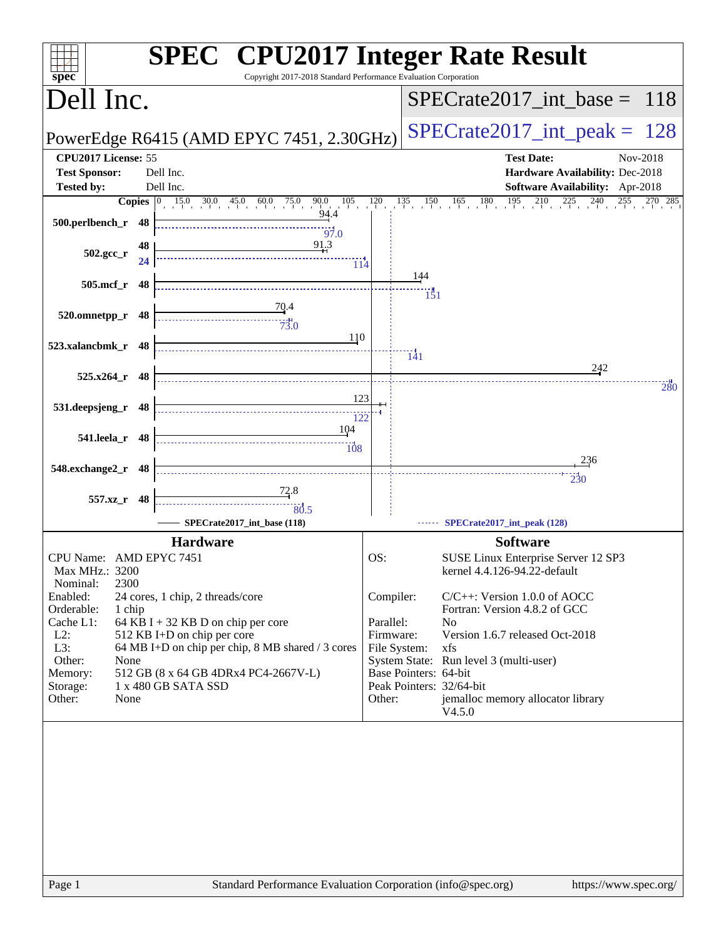| spec <sup>®</sup>                                    |          | <b>SPEC<sup>®</sup></b> CPU2017 Integer Rate Result<br>Copyright 2017-2018 Standard Performance Evaluation Corporation                                 |                        |                                                                  |                                                                     |     |
|------------------------------------------------------|----------|--------------------------------------------------------------------------------------------------------------------------------------------------------|------------------------|------------------------------------------------------------------|---------------------------------------------------------------------|-----|
| Dell Inc.                                            |          |                                                                                                                                                        |                        |                                                                  | $SPECTate2017\_int\_base = 118$                                     |     |
|                                                      |          | PowerEdge R6415 (AMD EPYC 7451, 2.30GHz)                                                                                                               |                        | $SPECrate2017\_int\_peak = 128$                                  |                                                                     |     |
| CPU2017 License: 55<br><b>Test Sponsor:</b>          |          | Dell Inc.                                                                                                                                              |                        | <b>Test Date:</b><br>Nov-2018<br>Hardware Availability: Dec-2018 |                                                                     |     |
| <b>Tested by:</b>                                    |          | Dell Inc.                                                                                                                                              |                        |                                                                  | Software Availability: Apr-2018                                     |     |
| 500.perlbench_r 48                                   |          | <b>Copies</b> $\begin{bmatrix} 0 & 15.0 & 30.0 & 45.0 & 60.0 & 75.0 & 90.0 & 105 \\ 0 & 0 & 94.4 & 94.4 & 0 & 0 & 0 \end{bmatrix}$<br>$\frac{1}{97.0}$ | 120                    |                                                                  | $135$ $150$ $165$ $180$ $195$ $210$ $225$ $240$ $255$ $270$ $285$   |     |
| $502.\text{gcc}_{r}$                                 | 48<br>24 | 91.3<br>114                                                                                                                                            |                        |                                                                  |                                                                     |     |
| 505.mcf_r 48                                         |          |                                                                                                                                                        |                        | 144<br>$\frac{11}{151}$                                          |                                                                     |     |
| 520.omnetpp_r 48                                     |          | $\frac{70.4}{4}$<br>$\frac{1}{73.0}$                                                                                                                   |                        |                                                                  |                                                                     |     |
| 523.xalancbmk_r 48                                   |          | 110                                                                                                                                                    |                        | $\frac{1}{41}$                                                   |                                                                     |     |
| $525.x264$ r 48                                      |          |                                                                                                                                                        |                        |                                                                  | 242                                                                 | 280 |
| 531.deepsjeng_r 48                                   |          | 123<br>122                                                                                                                                             |                        |                                                                  |                                                                     |     |
| 541.leela_r 48                                       |          | 104                                                                                                                                                    |                        |                                                                  |                                                                     |     |
| 548.exchange2_r 48                                   |          |                                                                                                                                                        |                        |                                                                  | 236                                                                 |     |
| 557.xz_r 48                                          |          |                                                                                                                                                        |                        |                                                                  |                                                                     |     |
|                                                      |          | 80.5<br>SPECrate2017_int_base (118)                                                                                                                    |                        |                                                                  | SPECrate2017_int_peak (128)                                         |     |
|                                                      |          | <b>Hardware</b>                                                                                                                                        |                        |                                                                  | <b>Software</b>                                                     |     |
| CPU Name: AMD EPYC 7451<br>Max MHz.: 3200            |          |                                                                                                                                                        | OS:                    |                                                                  | SUSE Linux Enterprise Server 12 SP3<br>kernel 4.4.126-94.22-default |     |
| 2300<br>Nominal:<br>Enabled:<br>Orderable:<br>1 chip |          | 24 cores, 1 chip, 2 threads/core                                                                                                                       | Compiler:              |                                                                  | $C/C++$ : Version 1.0.0 of AOCC<br>Fortran: Version 4.8.2 of GCC    |     |
| Cache L1:<br>$L2$ :                                  |          | 64 KB I + 32 KB D on chip per core<br>512 KB I+D on chip per core                                                                                      | Parallel:<br>Firmware: |                                                                  | N <sub>0</sub><br>Version 1.6.7 released Oct-2018                   |     |
| L3:<br>Other:<br>None<br>Memory:                     |          | 64 MB I+D on chip per chip, 8 MB shared / 3 cores<br>512 GB (8 x 64 GB 4DRx4 PC4-2667V-L)                                                              |                        | File System:<br>Base Pointers: 64-bit                            | xfs<br>System State: Run level 3 (multi-user)                       |     |
| Storage:<br>Other:<br>None                           |          | 1 x 480 GB SATA SSD                                                                                                                                    | Other:                 |                                                                  | Peak Pointers: 32/64-bit<br>jemalloc memory allocator library       |     |
|                                                      |          |                                                                                                                                                        |                        |                                                                  | V4.5.0                                                              |     |
|                                                      |          |                                                                                                                                                        |                        |                                                                  |                                                                     |     |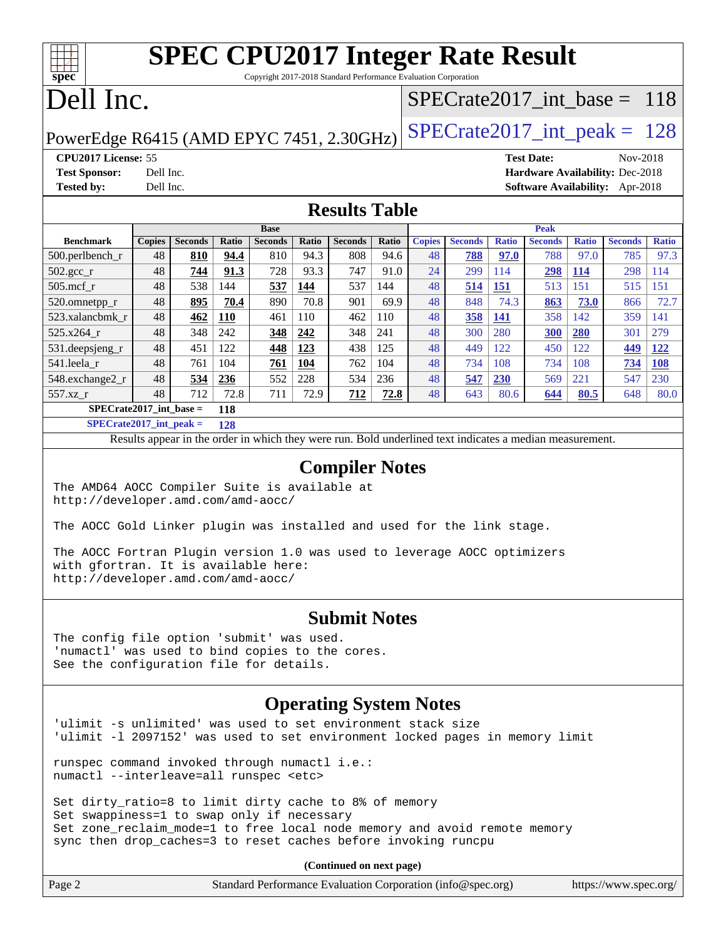### **[SPEC CPU2017 Integer Rate Result](http://www.spec.org/auto/cpu2017/Docs/result-fields.html#SPECCPU2017IntegerRateResult)** Copyright 2017-2018 Standard Performance Evaluation Corporation

Dell Inc.

**[spec](http://www.spec.org/)**

### [SPECrate2017\\_int\\_base =](http://www.spec.org/auto/cpu2017/Docs/result-fields.html#SPECrate2017intbase) 118

PowerEdge R6415 (AMD EPYC 7451, 2.30GHz)  $\left|$  [SPECrate2017\\_int\\_peak =](http://www.spec.org/auto/cpu2017/Docs/result-fields.html#SPECrate2017intpeak) 128

**[CPU2017 License:](http://www.spec.org/auto/cpu2017/Docs/result-fields.html#CPU2017License)** 55 **[Test Date:](http://www.spec.org/auto/cpu2017/Docs/result-fields.html#TestDate)** Nov-2018 **[Test Sponsor:](http://www.spec.org/auto/cpu2017/Docs/result-fields.html#TestSponsor)** Dell Inc. **[Hardware Availability:](http://www.spec.org/auto/cpu2017/Docs/result-fields.html#HardwareAvailability)** Dec-2018 **[Tested by:](http://www.spec.org/auto/cpu2017/Docs/result-fields.html#Testedby)** Dell Inc. **[Software Availability:](http://www.spec.org/auto/cpu2017/Docs/result-fields.html#SoftwareAvailability)** Apr-2018

#### **[Results Table](http://www.spec.org/auto/cpu2017/Docs/result-fields.html#ResultsTable)**

|                           | <b>Base</b>   |                |       |                |       | <b>Peak</b>    |              |               |                |              |                |              |                |              |
|---------------------------|---------------|----------------|-------|----------------|-------|----------------|--------------|---------------|----------------|--------------|----------------|--------------|----------------|--------------|
| <b>Benchmark</b>          | <b>Copies</b> | <b>Seconds</b> | Ratio | <b>Seconds</b> | Ratio | <b>Seconds</b> | <b>Ratio</b> | <b>Copies</b> | <b>Seconds</b> | <b>Ratio</b> | <b>Seconds</b> | <b>Ratio</b> | <b>Seconds</b> | <b>Ratio</b> |
| $500$ .perlbench r        | 48            | 810            | 94.4  | 810            | 94.3  | 808            | 94.6         | 48            | 788            | 97.0         | 788            | 97.0         | 785            | 97.3         |
| 502.gcc_r                 | 48            | 744            | 91.3  | 728            | 93.3  | 747            | 91.0         | 24            | 299            | 114          | 298            | <b>114</b>   | 298            | 114          |
| $505$ .mcf r              | 48            | 538            | 144   | 537            | 144   | 537            | 144          | 48            | 514            | <u>151</u>   | 513            | 151          | 515            | 151          |
| 520.omnetpp_r             | 48            | 895            | 70.4  | 890            | 70.8  | 901            | 69.9         | 48            | 848            | 74.3         | 863            | 73.0         | 866            | 72.7         |
| 523.xalancbmk r           | 48            | 462            | 110   | 461            | 110   | 462            | 110          | 48            | 358            | <b>141</b>   | 358            | 142          | 359            | 141          |
| 525.x264 r                | 48            | 348            | 242   | 348            | 242   | 348            | 241          | 48            | 300            | 280          | 300            | 280          | 301            | 279          |
| 531.deepsjeng_r           | 48            | 451            | 122   | 448            | 123   | 438            | 125          | 48            | 449            | 122          | 450            | 122          | 449            | 122          |
| 541.leela r               | 48            | 761            | 104   | 761            | 104   | 762            | 104          | 48            | 734            | 108          | 734            | 108          | 734            | <b>108</b>   |
| 548.exchange2_r           | 48            | 534            | 236   | 552            | 228   | 534            | 236          | 48            | 547            | 230          | 569            | 221          | 547            | 230          |
| 557.xz r                  | 48            | 712            | 72.8  | 711            | 72.9  | 712            | 72.8         | 48            | 643            | 80.6         | 644            | 80.5         | 648            | 80.0         |
| $SPECrate2017$ int base = |               |                | 118   |                |       |                |              |               |                |              |                |              |                |              |

**[SPECrate2017\\_int\\_peak =](http://www.spec.org/auto/cpu2017/Docs/result-fields.html#SPECrate2017intpeak) 128**

Results appear in the [order in which they were run.](http://www.spec.org/auto/cpu2017/Docs/result-fields.html#RunOrder) Bold underlined text [indicates a median measurement.](http://www.spec.org/auto/cpu2017/Docs/result-fields.html#Median)

#### **[Compiler Notes](http://www.spec.org/auto/cpu2017/Docs/result-fields.html#CompilerNotes)**

The AMD64 AOCC Compiler Suite is available at <http://developer.amd.com/amd-aocc/>

The AOCC Gold Linker plugin was installed and used for the link stage.

The AOCC Fortran Plugin version 1.0 was used to leverage AOCC optimizers with gfortran. It is available here: <http://developer.amd.com/amd-aocc/>

#### **[Submit Notes](http://www.spec.org/auto/cpu2017/Docs/result-fields.html#SubmitNotes)**

The config file option 'submit' was used. 'numactl' was used to bind copies to the cores. See the configuration file for details.

#### **[Operating System Notes](http://www.spec.org/auto/cpu2017/Docs/result-fields.html#OperatingSystemNotes)**

'ulimit -s unlimited' was used to set environment stack size 'ulimit -l 2097152' was used to set environment locked pages in memory limit

runspec command invoked through numactl i.e.: numactl --interleave=all runspec <etc>

Set dirty\_ratio=8 to limit dirty cache to 8% of memory Set swappiness=1 to swap only if necessary Set zone\_reclaim\_mode=1 to free local node memory and avoid remote memory sync then drop\_caches=3 to reset caches before invoking runcpu

**(Continued on next page)**

| Page 2 | Standard Performance Evaluation Corporation (info@spec.org) | https://www.spec.org/ |
|--------|-------------------------------------------------------------|-----------------------|
|--------|-------------------------------------------------------------|-----------------------|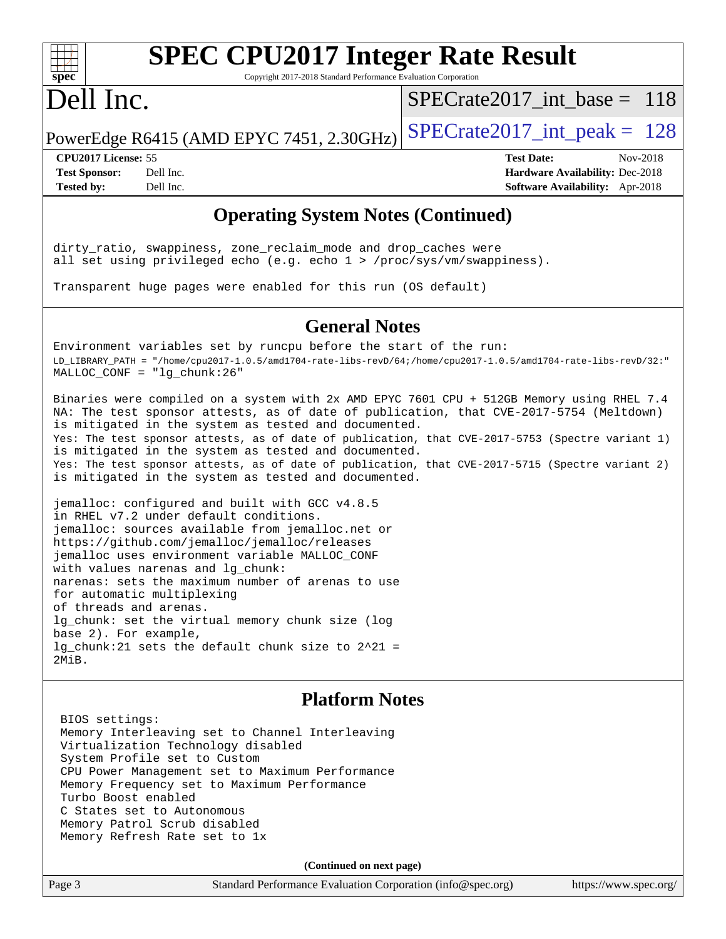

## **[SPEC CPU2017 Integer Rate Result](http://www.spec.org/auto/cpu2017/Docs/result-fields.html#SPECCPU2017IntegerRateResult)**

Copyright 2017-2018 Standard Performance Evaluation Corporation

## Dell Inc.

[SPECrate2017\\_int\\_base =](http://www.spec.org/auto/cpu2017/Docs/result-fields.html#SPECrate2017intbase) 118

PowerEdge R6415 (AMD EPYC 7451, 2.30GHz)  $\text{SPECrate}2017\_int\_peak = 128$ 

**[Test Sponsor:](http://www.spec.org/auto/cpu2017/Docs/result-fields.html#TestSponsor)** Dell Inc. **[Hardware Availability:](http://www.spec.org/auto/cpu2017/Docs/result-fields.html#HardwareAvailability)** Dec-2018 **[Tested by:](http://www.spec.org/auto/cpu2017/Docs/result-fields.html#Testedby)** Dell Inc. **[Software Availability:](http://www.spec.org/auto/cpu2017/Docs/result-fields.html#SoftwareAvailability)** Apr-2018

**[CPU2017 License:](http://www.spec.org/auto/cpu2017/Docs/result-fields.html#CPU2017License)** 55 **[Test Date:](http://www.spec.org/auto/cpu2017/Docs/result-fields.html#TestDate)** Nov-2018

#### **[Operating System Notes \(Continued\)](http://www.spec.org/auto/cpu2017/Docs/result-fields.html#OperatingSystemNotes)**

dirty\_ratio, swappiness, zone\_reclaim\_mode and drop\_caches were all set using privileged echo (e.g. echo 1 > /proc/sys/vm/swappiness).

Transparent huge pages were enabled for this run (OS default)

#### **[General Notes](http://www.spec.org/auto/cpu2017/Docs/result-fields.html#GeneralNotes)**

Environment variables set by runcpu before the start of the run: LD\_LIBRARY\_PATH = "/home/cpu2017-1.0.5/amd1704-rate-libs-revD/64;/home/cpu2017-1.0.5/amd1704-rate-libs-revD/32:" MALLOC\_CONF = "lg\_chunk:26"

Binaries were compiled on a system with 2x AMD EPYC 7601 CPU + 512GB Memory using RHEL 7.4 NA: The test sponsor attests, as of date of publication, that CVE-2017-5754 (Meltdown) is mitigated in the system as tested and documented. Yes: The test sponsor attests, as of date of publication, that CVE-2017-5753 (Spectre variant 1) is mitigated in the system as tested and documented. Yes: The test sponsor attests, as of date of publication, that CVE-2017-5715 (Spectre variant 2) is mitigated in the system as tested and documented.

jemalloc: configured and built with GCC v4.8.5 in RHEL v7.2 under default conditions. jemalloc: sources available from jemalloc.net or <https://github.com/jemalloc/jemalloc/releases> jemalloc uses environment variable MALLOC\_CONF with values narenas and lg\_chunk: narenas: sets the maximum number of arenas to use for automatic multiplexing of threads and arenas. lg\_chunk: set the virtual memory chunk size (log base 2). For example, lg\_chunk:21 sets the default chunk size to 2^21 = 2MiB.

#### **[Platform Notes](http://www.spec.org/auto/cpu2017/Docs/result-fields.html#PlatformNotes)**

 BIOS settings: Memory Interleaving set to Channel Interleaving Virtualization Technology disabled System Profile set to Custom CPU Power Management set to Maximum Performance Memory Frequency set to Maximum Performance Turbo Boost enabled C States set to Autonomous Memory Patrol Scrub disabled Memory Refresh Rate set to 1x

**(Continued on next page)**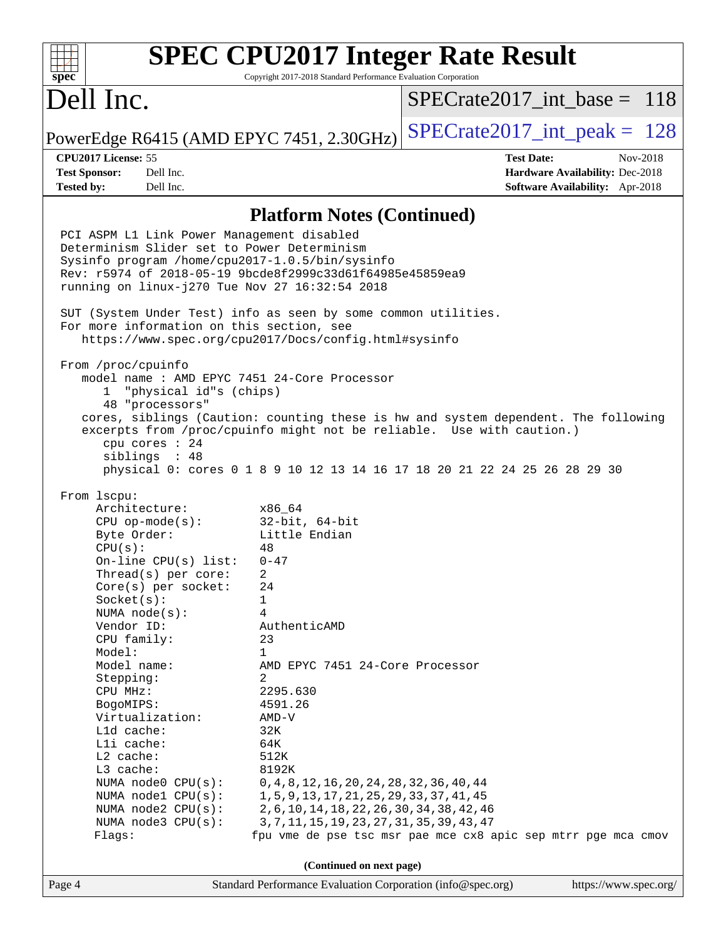#### **[SPEC CPU2017 Integer Rate Result](http://www.spec.org/auto/cpu2017/Docs/result-fields.html#SPECCPU2017IntegerRateResult)**  $+\ +$ **[spec](http://www.spec.org/)** Copyright 2017-2018 Standard Performance Evaluation Corporation Dell Inc. [SPECrate2017\\_int\\_base =](http://www.spec.org/auto/cpu2017/Docs/result-fields.html#SPECrate2017intbase) 118 PowerEdge R6415 (AMD EPYC 7451, 2.30GHz) SPECrate  $2017$  int peak = 128 **[CPU2017 License:](http://www.spec.org/auto/cpu2017/Docs/result-fields.html#CPU2017License)** 55 **[Test Date:](http://www.spec.org/auto/cpu2017/Docs/result-fields.html#TestDate)** Nov-2018 **[Test Sponsor:](http://www.spec.org/auto/cpu2017/Docs/result-fields.html#TestSponsor)** Dell Inc. **[Hardware Availability:](http://www.spec.org/auto/cpu2017/Docs/result-fields.html#HardwareAvailability)** Dec-2018 **[Tested by:](http://www.spec.org/auto/cpu2017/Docs/result-fields.html#Testedby)** Dell Inc. **[Software Availability:](http://www.spec.org/auto/cpu2017/Docs/result-fields.html#SoftwareAvailability)** Apr-2018 **[Platform Notes \(Continued\)](http://www.spec.org/auto/cpu2017/Docs/result-fields.html#PlatformNotes)** PCI ASPM L1 Link Power Management disabled Determinism Slider set to Power Determinism Sysinfo program /home/cpu2017-1.0.5/bin/sysinfo Rev: r5974 of 2018-05-19 9bcde8f2999c33d61f64985e45859ea9 running on linux-j270 Tue Nov 27 16:32:54 2018 SUT (System Under Test) info as seen by some common utilities. For more information on this section, see <https://www.spec.org/cpu2017/Docs/config.html#sysinfo> From /proc/cpuinfo model name : AMD EPYC 7451 24-Core Processor 1 "physical id"s (chips) 48 "processors" cores, siblings (Caution: counting these is hw and system dependent. The following excerpts from /proc/cpuinfo might not be reliable. Use with caution.) cpu cores : 24 siblings : 48 physical 0: cores 0 1 8 9 10 12 13 14 16 17 18 20 21 22 24 25 26 28 29 30 From lscpu: Architecture: x86\_64 CPU op-mode(s): 32-bit, 64-bit Byte Order: Little Endian  $CPU(s):$  48 On-line CPU(s) list: 0-47 Thread(s) per core: 2 Core(s) per socket: 24 Socket(s): 1 NUMA node(s): 4 Vendor ID: AuthenticAMD CPU family: 23 Model: 1 Model name: AMD EPYC 7451 24-Core Processor Stepping: 2 CPU MHz: 2295.630 BogoMIPS: 4591.26 Virtualization: AMD-V L1d cache: 32K L1i cache: 64K L2 cache: 512K L3 cache: 8192K NUMA node0 CPU(s): 0,4,8,12,16,20,24,28,32,36,40,44 NUMA node1 CPU(s): 1,5,9,13,17,21,25,29,33,37,41,45 NUMA node2 CPU(s): 2,6,10,14,18,22,26,30,34,38,42,46 NUMA node3 CPU(s): 3,7,11,15,19,23,27,31,35,39,43,47 Flags: fpu vme de pse tsc msr pae mce cx8 apic sep mtrr pge mca cmov **(Continued on next page)**Page 4 Standard Performance Evaluation Corporation [\(info@spec.org\)](mailto:info@spec.org) <https://www.spec.org/>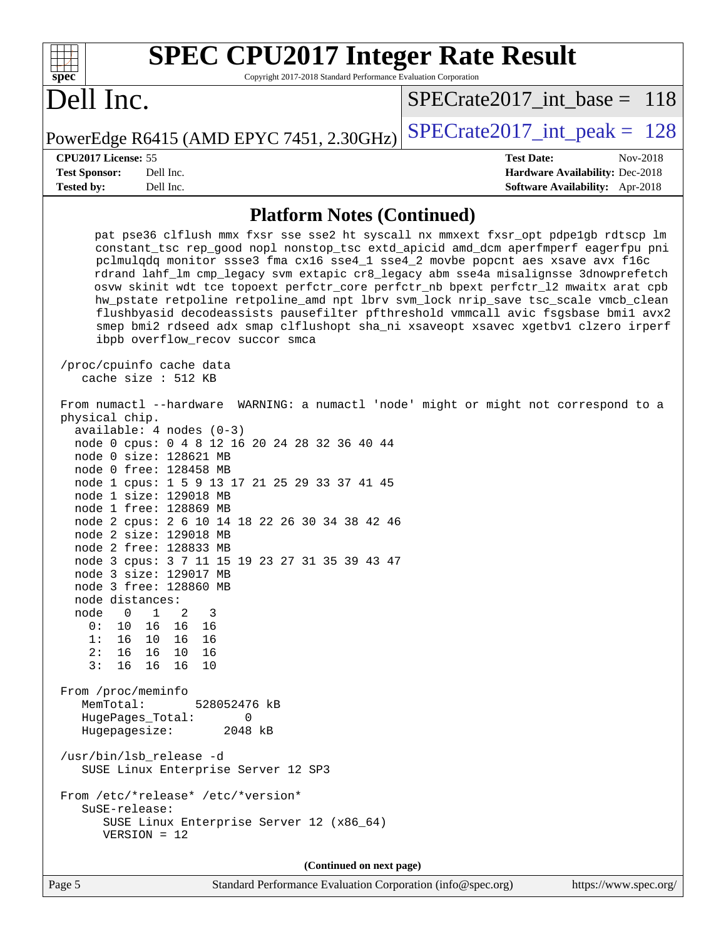| <b>SPEC CPU2017 Integer Rate Result</b>                                                                                                                                                                                                                                                                                                                                                                                                                                                                                                                                                                                                                                                                                                                                                                                                                                                                                                                                                                                                                                                                                                                                                                                                                                                                                                                                                                                                                                                                                                                                                                                                  |                                                                           |
|------------------------------------------------------------------------------------------------------------------------------------------------------------------------------------------------------------------------------------------------------------------------------------------------------------------------------------------------------------------------------------------------------------------------------------------------------------------------------------------------------------------------------------------------------------------------------------------------------------------------------------------------------------------------------------------------------------------------------------------------------------------------------------------------------------------------------------------------------------------------------------------------------------------------------------------------------------------------------------------------------------------------------------------------------------------------------------------------------------------------------------------------------------------------------------------------------------------------------------------------------------------------------------------------------------------------------------------------------------------------------------------------------------------------------------------------------------------------------------------------------------------------------------------------------------------------------------------------------------------------------------------|---------------------------------------------------------------------------|
| spec<br>Copyright 2017-2018 Standard Performance Evaluation Corporation                                                                                                                                                                                                                                                                                                                                                                                                                                                                                                                                                                                                                                                                                                                                                                                                                                                                                                                                                                                                                                                                                                                                                                                                                                                                                                                                                                                                                                                                                                                                                                  |                                                                           |
| Dell Inc.                                                                                                                                                                                                                                                                                                                                                                                                                                                                                                                                                                                                                                                                                                                                                                                                                                                                                                                                                                                                                                                                                                                                                                                                                                                                                                                                                                                                                                                                                                                                                                                                                                | $SPECrate2017$ int base = 118                                             |
| PowerEdge R6415 (AMD EPYC 7451, 2.30GHz)                                                                                                                                                                                                                                                                                                                                                                                                                                                                                                                                                                                                                                                                                                                                                                                                                                                                                                                                                                                                                                                                                                                                                                                                                                                                                                                                                                                                                                                                                                                                                                                                 | $SPECrate2017\_int\_peak = 128$                                           |
| CPU2017 License: 55                                                                                                                                                                                                                                                                                                                                                                                                                                                                                                                                                                                                                                                                                                                                                                                                                                                                                                                                                                                                                                                                                                                                                                                                                                                                                                                                                                                                                                                                                                                                                                                                                      | <b>Test Date:</b><br>Nov-2018                                             |
| <b>Test Sponsor:</b><br>Dell Inc.<br>Tested by:<br>Dell Inc.                                                                                                                                                                                                                                                                                                                                                                                                                                                                                                                                                                                                                                                                                                                                                                                                                                                                                                                                                                                                                                                                                                                                                                                                                                                                                                                                                                                                                                                                                                                                                                             | Hardware Availability: Dec-2018<br><b>Software Availability:</b> Apr-2018 |
| <b>Platform Notes (Continued)</b>                                                                                                                                                                                                                                                                                                                                                                                                                                                                                                                                                                                                                                                                                                                                                                                                                                                                                                                                                                                                                                                                                                                                                                                                                                                                                                                                                                                                                                                                                                                                                                                                        |                                                                           |
| pat pse36 clflush mmx fxsr sse sse2 ht syscall nx mmxext fxsr_opt pdpe1gb rdtscp lm<br>constant_tsc rep_good nopl nonstop_tsc extd_apicid amd_dcm aperfmperf eagerfpu pni<br>pclmulqdq monitor ssse3 fma cx16 sse4_1 sse4_2 movbe popcnt aes xsave avx f16c<br>rdrand lahf_lm cmp_legacy svm extapic cr8_legacy abm sse4a misalignsse 3dnowprefetch<br>osvw skinit wdt tce topoext perfctr_core perfctr_nb bpext perfctr_12 mwaitx arat cpb<br>hw_pstate retpoline retpoline_amd npt lbrv svm_lock nrip_save tsc_scale vmcb_clean<br>flushbyasid decodeassists pausefilter pfthreshold vmmcall avic fsgsbase bmil avx2<br>smep bmi2 rdseed adx smap clflushopt sha_ni xsaveopt xsavec xgetbvl clzero irperf<br>ibpb overflow_recov succor smca<br>/proc/cpuinfo cache data<br>cache size : 512 KB<br>From numactl --hardware WARNING: a numactl 'node' might or might not correspond to a<br>physical chip.<br>$available: 4 nodes (0-3)$<br>node 0 cpus: 0 4 8 12 16 20 24 28 32 36 40 44<br>node 0 size: 128621 MB<br>node 0 free: 128458 MB<br>node 1 cpus: 1 5 9 13 17 21 25 29 33 37 41 45<br>node 1 size: 129018 MB<br>node 1 free: 128869 MB<br>node 2 cpus: 2 6 10 14 18 22 26 30 34 38 42 46<br>node 2 size: 129018 MB<br>node 2 free: 128833 MB<br>node 3 cpus: 3 7 11 15 19 23 27 31 35 39 43 47<br>node 3 size: 129017 MB<br>node 3 free: 128860 MB<br>node distances:<br>$\overline{0}$<br>$\mathbf{1}$<br>2<br>node<br>-3<br>0:<br>16 16 16<br>10<br>1: 16 10 16 16<br>2:16<br>16 10 16<br>3:<br>16 16<br>16<br>10<br>From /proc/meminfo<br>MemTotal:<br>528052476 kB<br>HugePages_Total:<br>0<br>Hugepagesize:<br>2048 kB |                                                                           |
| /usr/bin/lsb_release -d<br>SUSE Linux Enterprise Server 12 SP3                                                                                                                                                                                                                                                                                                                                                                                                                                                                                                                                                                                                                                                                                                                                                                                                                                                                                                                                                                                                                                                                                                                                                                                                                                                                                                                                                                                                                                                                                                                                                                           |                                                                           |
| From /etc/*release* /etc/*version*<br>SuSE-release:<br>SUSE Linux Enterprise Server 12 (x86_64)<br>$VERSION = 12$                                                                                                                                                                                                                                                                                                                                                                                                                                                                                                                                                                                                                                                                                                                                                                                                                                                                                                                                                                                                                                                                                                                                                                                                                                                                                                                                                                                                                                                                                                                        |                                                                           |
| (Continued on next page)                                                                                                                                                                                                                                                                                                                                                                                                                                                                                                                                                                                                                                                                                                                                                                                                                                                                                                                                                                                                                                                                                                                                                                                                                                                                                                                                                                                                                                                                                                                                                                                                                 |                                                                           |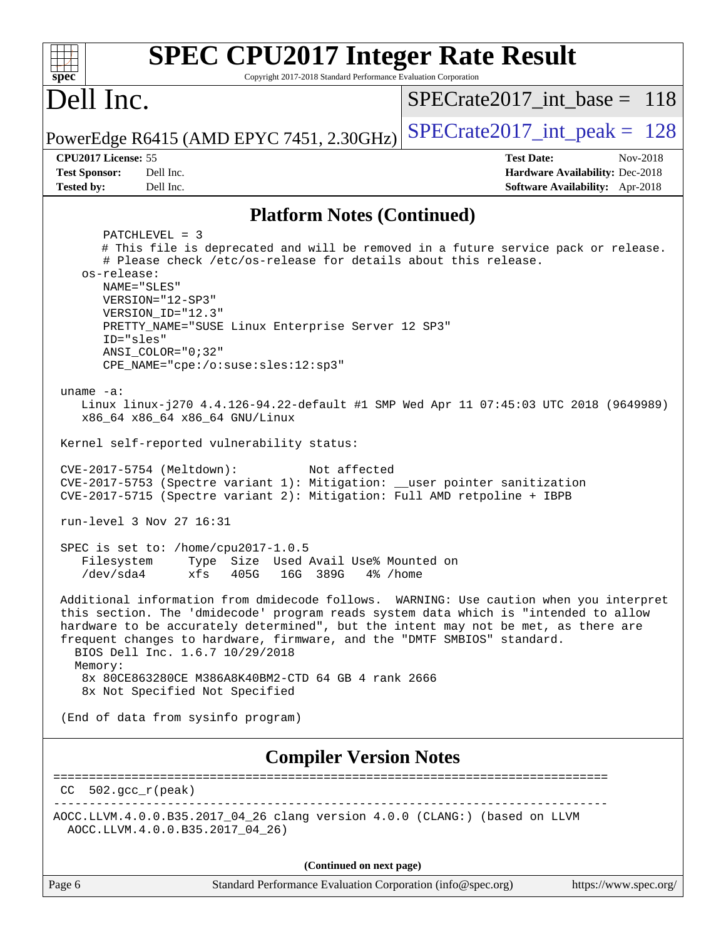| <b>SPEC CPU2017 Integer Rate Result</b><br>spec<br>Copyright 2017-2018 Standard Performance Evaluation Corporation                                                                                                                                                                                                                                                                |                                 |
|-----------------------------------------------------------------------------------------------------------------------------------------------------------------------------------------------------------------------------------------------------------------------------------------------------------------------------------------------------------------------------------|---------------------------------|
| Dell Inc.                                                                                                                                                                                                                                                                                                                                                                         | $SPECrate2017\_int\_base = 118$ |
| PowerEdge R6415 (AMD EPYC 7451, 2.30GHz)                                                                                                                                                                                                                                                                                                                                          | $SPECrate2017\_int\_peak = 128$ |
| CPU2017 License: 55                                                                                                                                                                                                                                                                                                                                                               | <b>Test Date:</b><br>Nov-2018   |
| <b>Test Sponsor:</b><br>Dell Inc.                                                                                                                                                                                                                                                                                                                                                 | Hardware Availability: Dec-2018 |
| <b>Tested by:</b><br>Dell Inc.                                                                                                                                                                                                                                                                                                                                                    | Software Availability: Apr-2018 |
| <b>Platform Notes (Continued)</b>                                                                                                                                                                                                                                                                                                                                                 |                                 |
| PATCHLEVEL = 3                                                                                                                                                                                                                                                                                                                                                                    |                                 |
| # This file is deprecated and will be removed in a future service pack or release.                                                                                                                                                                                                                                                                                                |                                 |
| # Please check /etc/os-release for details about this release.<br>os-release:                                                                                                                                                                                                                                                                                                     |                                 |
| NAME="SLES"                                                                                                                                                                                                                                                                                                                                                                       |                                 |
| VERSION="12-SP3"                                                                                                                                                                                                                                                                                                                                                                  |                                 |
| VERSION ID="12.3"                                                                                                                                                                                                                                                                                                                                                                 |                                 |
| PRETTY_NAME="SUSE Linux Enterprise Server 12 SP3"<br>ID="sles"                                                                                                                                                                                                                                                                                                                    |                                 |
| $ANSI$ _COLOR=" $0:32$ "                                                                                                                                                                                                                                                                                                                                                          |                                 |
| CPE_NAME="cpe:/o:suse:sles:12:sp3"                                                                                                                                                                                                                                                                                                                                                |                                 |
|                                                                                                                                                                                                                                                                                                                                                                                   |                                 |
| uname $-a$ :<br>Linux linux-j270 4.4.126-94.22-default #1 SMP Wed Apr 11 07:45:03 UTC 2018 (9649989)                                                                                                                                                                                                                                                                              |                                 |
| x86_64 x86_64 x86_64 GNU/Linux                                                                                                                                                                                                                                                                                                                                                    |                                 |
|                                                                                                                                                                                                                                                                                                                                                                                   |                                 |
| Kernel self-reported vulnerability status:                                                                                                                                                                                                                                                                                                                                        |                                 |
| CVE-2017-5754 (Meltdown):<br>Not affected<br>CVE-2017-5753 (Spectre variant 1): Mitigation: __user pointer sanitization<br>CVE-2017-5715 (Spectre variant 2): Mitigation: Full AMD retpoline + IBPB                                                                                                                                                                               |                                 |
| run-level 3 Nov 27 16:31                                                                                                                                                                                                                                                                                                                                                          |                                 |
| SPEC is set to: /home/cpu2017-1.0.5                                                                                                                                                                                                                                                                                                                                               |                                 |
| Type Size Used Avail Use% Mounted on<br>Filesystem                                                                                                                                                                                                                                                                                                                                |                                 |
| $/\text{dev/sda4}$<br>xfs<br>405G<br>16G 389G<br>4% /home                                                                                                                                                                                                                                                                                                                         |                                 |
| Additional information from dmidecode follows. WARNING: Use caution when you interpret<br>this section. The 'dmidecode' program reads system data which is "intended to allow<br>hardware to be accurately determined", but the intent may not be met, as there are<br>frequent changes to hardware, firmware, and the "DMTF SMBIOS" standard.<br>BIOS Dell Inc. 1.6.7 10/29/2018 |                                 |
| Memory:<br>8x 80CE863280CE M386A8K40BM2-CTD 64 GB 4 rank 2666<br>8x Not Specified Not Specified                                                                                                                                                                                                                                                                                   |                                 |
| (End of data from sysinfo program)                                                                                                                                                                                                                                                                                                                                                |                                 |
| <b>Compiler Version Notes</b>                                                                                                                                                                                                                                                                                                                                                     |                                 |
| 502.gcc_r(peak)<br>CC.                                                                                                                                                                                                                                                                                                                                                            |                                 |
| AOCC.LLVM.4.0.0.B35.2017_04_26 clang version 4.0.0 (CLANG:) (based on LLVM<br>AOCC.LLVM.4.0.0.B35.2017_04_26)                                                                                                                                                                                                                                                                     |                                 |
| (Continued on next page)                                                                                                                                                                                                                                                                                                                                                          |                                 |

Page 6 Standard Performance Evaluation Corporation [\(info@spec.org\)](mailto:info@spec.org) <https://www.spec.org/>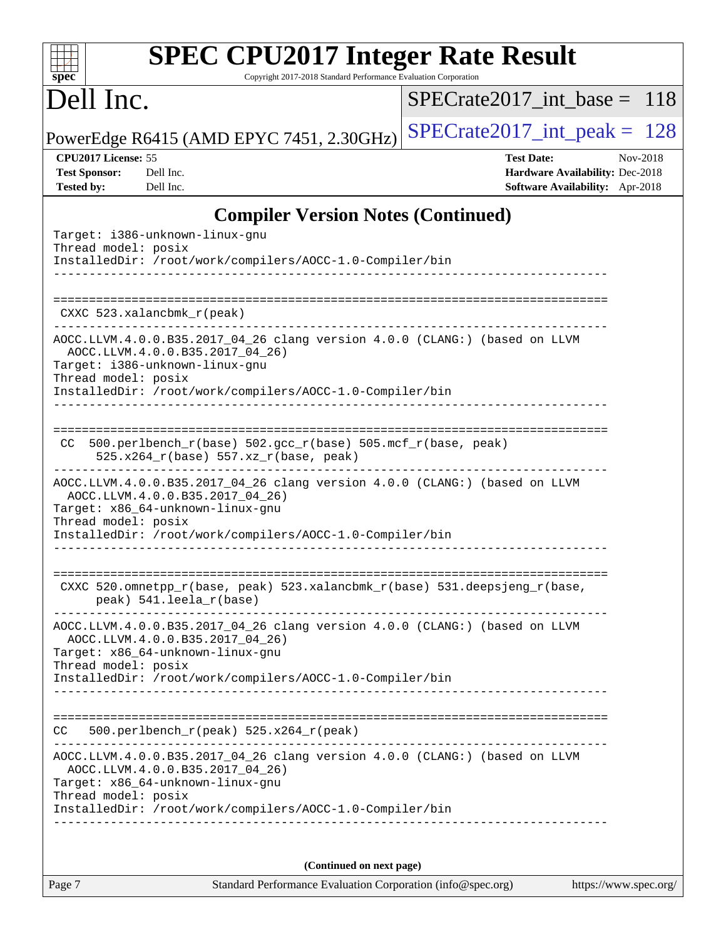| <b>SPEC CPU2017 Integer Rate Result</b>                         |  |
|-----------------------------------------------------------------|--|
| Copyright 2017-2018 Standard Performance Evaluation Corporation |  |
|                                                                 |  |

## Dell Inc.

**[spec](http://www.spec.org/)**

[SPECrate2017\\_int\\_base =](http://www.spec.org/auto/cpu2017/Docs/result-fields.html#SPECrate2017intbase) 118

PowerEdge R6415 (AMD EPYC 7451, 2.30GHz) [SPECrate2017\\_int\\_peak =](http://www.spec.org/auto/cpu2017/Docs/result-fields.html#SPECrate2017intpeak)  $128$ 

**[CPU2017 License:](http://www.spec.org/auto/cpu2017/Docs/result-fields.html#CPU2017License)** 55 **[Test Date:](http://www.spec.org/auto/cpu2017/Docs/result-fields.html#TestDate)** Nov-2018 **[Test Sponsor:](http://www.spec.org/auto/cpu2017/Docs/result-fields.html#TestSponsor)** Dell Inc. **[Hardware Availability:](http://www.spec.org/auto/cpu2017/Docs/result-fields.html#HardwareAvailability)** Dec-2018 **[Tested by:](http://www.spec.org/auto/cpu2017/Docs/result-fields.html#Testedby)** Dell Inc. **[Software Availability:](http://www.spec.org/auto/cpu2017/Docs/result-fields.html#SoftwareAvailability)** Apr-2018

### **[Compiler Version Notes \(Continued\)](http://www.spec.org/auto/cpu2017/Docs/result-fields.html#CompilerVersionNotes)**

| (Continued on next page)                                                                                                                                                                                                             |
|--------------------------------------------------------------------------------------------------------------------------------------------------------------------------------------------------------------------------------------|
| AOCC.LLVM.4.0.0.B35.2017_04_26 clang version 4.0.0 (CLANG:) (based on LLVM<br>AOCC.LLVM.4.0.0.B35.2017_04_26)<br>Target: x86_64-unknown-linux-gnu<br>Thread model: posix<br>InstalledDir: /root/work/compilers/AOCC-1.0-Compiler/bin |
| $500. perlbench_r (peak) 525.x264_r (peak)$<br>CC.                                                                                                                                                                                   |
| InstalledDir: /root/work/compilers/AOCC-1.0-Compiler/bin                                                                                                                                                                             |
| AOCC.LLVM.4.0.0.B35.2017_04_26 clang version 4.0.0 (CLANG:) (based on LLVM<br>AOCC.LLVM.4.0.0.B35.2017_04_26)<br>Target: x86_64-unknown-linux-gnu<br>Thread model: posix                                                             |
| CXXC 520.omnetpp_r(base, peak) 523.xalancbmk_r(base) 531.deepsjeng_r(base,<br>peak) 541.leela_r(base)<br>--------------------------                                                                                                  |
| AOCC.LLVM.4.0.0.B35.2017_04_26 clang version 4.0.0 (CLANG:) (based on LLVM<br>AOCC.LLVM.4.0.0.B35.2017_04_26)<br>Target: x86_64-unknown-linux-gnu<br>Thread model: posix<br>InstalledDir: /root/work/compilers/AOCC-1.0-Compiler/bin |
| 500.perlbench_r(base) 502.gcc_r(base) 505.mcf_r(base, peak)<br>CC.<br>525.x264_r(base) 557.xz_r(base, peak)                                                                                                                          |
| AOCC.LLVM.4.0.0.B35.2017_04_26 clang version 4.0.0 (CLANG:) (based on LLVM<br>AOCC.LLVM.4.0.0.B35.2017 04 26)<br>Target: i386-unknown-linux-gnu<br>Thread model: posix<br>InstalledDir: /root/work/compilers/AOCC-1.0-Compiler/bin   |
| CXXC 523.xalancbmk_r(peak)                                                                                                                                                                                                           |
| Target: i386-unknown-linux-gnu<br>Thread model: posix<br>InstalledDir: /root/work/compilers/AOCC-1.0-Compiler/bin                                                                                                                    |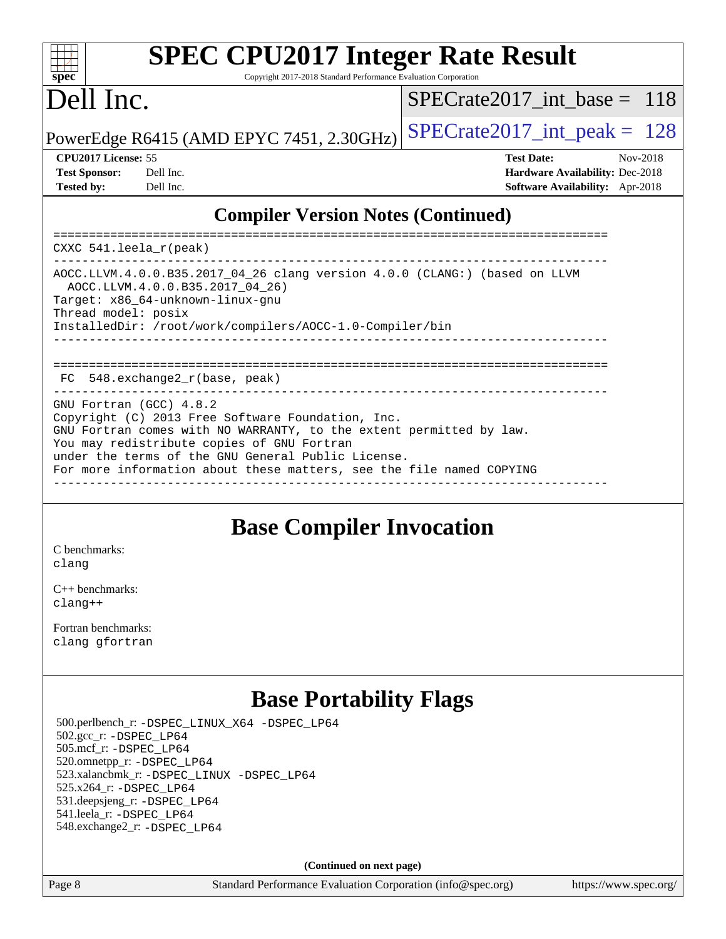#### $\pm$   $\mu$ **[spec](http://www.spec.org/)**

## **[SPEC CPU2017 Integer Rate Result](http://www.spec.org/auto/cpu2017/Docs/result-fields.html#SPECCPU2017IntegerRateResult)**

Copyright 2017-2018 Standard Performance Evaluation Corporation

## Dell Inc.

[SPECrate2017\\_int\\_base =](http://www.spec.org/auto/cpu2017/Docs/result-fields.html#SPECrate2017intbase) 118

PowerEdge R6415 (AMD EPYC 7451, 2.30GHz)  $\left|$  [SPECrate2017\\_int\\_peak =](http://www.spec.org/auto/cpu2017/Docs/result-fields.html#SPECrate2017intpeak) 128

#### **[CPU2017 License:](http://www.spec.org/auto/cpu2017/Docs/result-fields.html#CPU2017License)** 55 **[Test Date:](http://www.spec.org/auto/cpu2017/Docs/result-fields.html#TestDate)** Nov-2018

| <b>Test Sponsor:</b> | Dell In |
|----------------------|---------|
| <b>Tested by:</b>    | Dell In |

**[Test Sponsor:](http://www.spec.org/auto/cpu2017/Docs/result-fields.html#TestSponsor)** Decree Sponsor: **[Hardware Availability:](http://www.spec.org/auto/cpu2017/Docs/result-fields.html#HardwareAvailability)** Dec-2018 **[Tested by:](http://www.spec.org/auto/cpu2017/Docs/result-fields.html#Testedby) [Software Availability:](http://www.spec.org/auto/cpu2017/Docs/result-fields.html#SoftwareAvailability)** Apr-2018

### **[Compiler Version Notes \(Continued\)](http://www.spec.org/auto/cpu2017/Docs/result-fields.html#CompilerVersionNotes)**

============================================================================== CXXC 541.leela\_r(peak) ------------------------------------------------------------------------------ AOCC.LLVM.4.0.0.B35.2017\_04\_26 clang version 4.0.0 (CLANG:) (based on LLVM AOCC.LLVM.4.0.0.B35.2017\_04\_26) Target: x86\_64-unknown-linux-gnu Thread model: posix InstalledDir: /root/work/compilers/AOCC-1.0-Compiler/bin ------------------------------------------------------------------------------ ============================================================================== FC 548.exchange2\_r(base, peak) GNU Fortran (GCC) 4.8.2 Copyright (C) 2013 Free Software Foundation, Inc. GNU Fortran comes with NO WARRANTY, to the extent permitted by law. You may redistribute copies of GNU Fortran under the terms of the GNU General Public License. For more information about these matters, see the file named COPYING ------------------------------------------------------------------------------

## **[Base Compiler Invocation](http://www.spec.org/auto/cpu2017/Docs/result-fields.html#BaseCompilerInvocation)**

[C benchmarks](http://www.spec.org/auto/cpu2017/Docs/result-fields.html#Cbenchmarks): [clang](http://www.spec.org/cpu2017/results/res2018q4/cpu2017-20181210-10205.flags.html#user_CCbase_Fclang3_a68b77bfed473bd9cdd22529af008e8306c2e3948617c8991604c1a2000ee4a73ef90dd8bc793e105fe4165a625d26dacbda4708d828ad19048918c071b363ec)

[C++ benchmarks:](http://www.spec.org/auto/cpu2017/Docs/result-fields.html#CXXbenchmarks) [clang++](http://www.spec.org/cpu2017/results/res2018q4/cpu2017-20181210-10205.flags.html#user_CXXbase_Fclang3_57a48582e5be507d19b2527b3e7d4f85d9b8669ffc9a8a0dbb9bcf949a918a58bbab411e0c4d14a3922022a3e425a90db94042683824c1806feff4324ca1000d)

[Fortran benchmarks](http://www.spec.org/auto/cpu2017/Docs/result-fields.html#Fortranbenchmarks): [clang](http://www.spec.org/cpu2017/results/res2018q4/cpu2017-20181210-10205.flags.html#user_FCbase_Fclang3_a68b77bfed473bd9cdd22529af008e8306c2e3948617c8991604c1a2000ee4a73ef90dd8bc793e105fe4165a625d26dacbda4708d828ad19048918c071b363ec) [gfortran](http://www.spec.org/cpu2017/results/res2018q4/cpu2017-20181210-10205.flags.html#user_FCbase_aocc-gfortran_128c91a56d61ddb07404721e65b8f9498c31a443dacbd3b7f212891090eca86e2d099b520f75b99e9e8ac4fdec01f4d15f0b65e47123ec4c42b0759045731a1f)

## **[Base Portability Flags](http://www.spec.org/auto/cpu2017/Docs/result-fields.html#BasePortabilityFlags)**

 500.perlbench\_r: [-DSPEC\\_LINUX\\_X64](http://www.spec.org/cpu2017/results/res2018q4/cpu2017-20181210-10205.flags.html#b500.perlbench_r_basePORTABILITY_DSPEC_LINUX_X64) [-DSPEC\\_LP64](http://www.spec.org/cpu2017/results/res2018q4/cpu2017-20181210-10205.flags.html#b500.perlbench_r_baseEXTRA_PORTABILITY_DSPEC_LP64) 502.gcc\_r: [-DSPEC\\_LP64](http://www.spec.org/cpu2017/results/res2018q4/cpu2017-20181210-10205.flags.html#suite_baseEXTRA_PORTABILITY502_gcc_r_DSPEC_LP64) 505.mcf\_r: [-DSPEC\\_LP64](http://www.spec.org/cpu2017/results/res2018q4/cpu2017-20181210-10205.flags.html#suite_baseEXTRA_PORTABILITY505_mcf_r_DSPEC_LP64) 520.omnetpp\_r: [-DSPEC\\_LP64](http://www.spec.org/cpu2017/results/res2018q4/cpu2017-20181210-10205.flags.html#suite_baseEXTRA_PORTABILITY520_omnetpp_r_DSPEC_LP64) 523.xalancbmk\_r: [-DSPEC\\_LINUX](http://www.spec.org/cpu2017/results/res2018q4/cpu2017-20181210-10205.flags.html#b523.xalancbmk_r_basePORTABILITY_DSPEC_LINUX) [-DSPEC\\_LP64](http://www.spec.org/cpu2017/results/res2018q4/cpu2017-20181210-10205.flags.html#suite_baseEXTRA_PORTABILITY523_xalancbmk_r_DSPEC_LP64) 525.x264\_r: [-DSPEC\\_LP64](http://www.spec.org/cpu2017/results/res2018q4/cpu2017-20181210-10205.flags.html#suite_baseEXTRA_PORTABILITY525_x264_r_DSPEC_LP64) 531.deepsjeng\_r: [-DSPEC\\_LP64](http://www.spec.org/cpu2017/results/res2018q4/cpu2017-20181210-10205.flags.html#suite_baseEXTRA_PORTABILITY531_deepsjeng_r_DSPEC_LP64) 541.leela\_r: [-DSPEC\\_LP64](http://www.spec.org/cpu2017/results/res2018q4/cpu2017-20181210-10205.flags.html#suite_baseEXTRA_PORTABILITY541_leela_r_DSPEC_LP64) 548.exchange2\_r: [-DSPEC\\_LP64](http://www.spec.org/cpu2017/results/res2018q4/cpu2017-20181210-10205.flags.html#suite_baseEXTRA_PORTABILITY548_exchange2_r_DSPEC_LP64)

**(Continued on next page)**

Page 8 Standard Performance Evaluation Corporation [\(info@spec.org\)](mailto:info@spec.org) <https://www.spec.org/>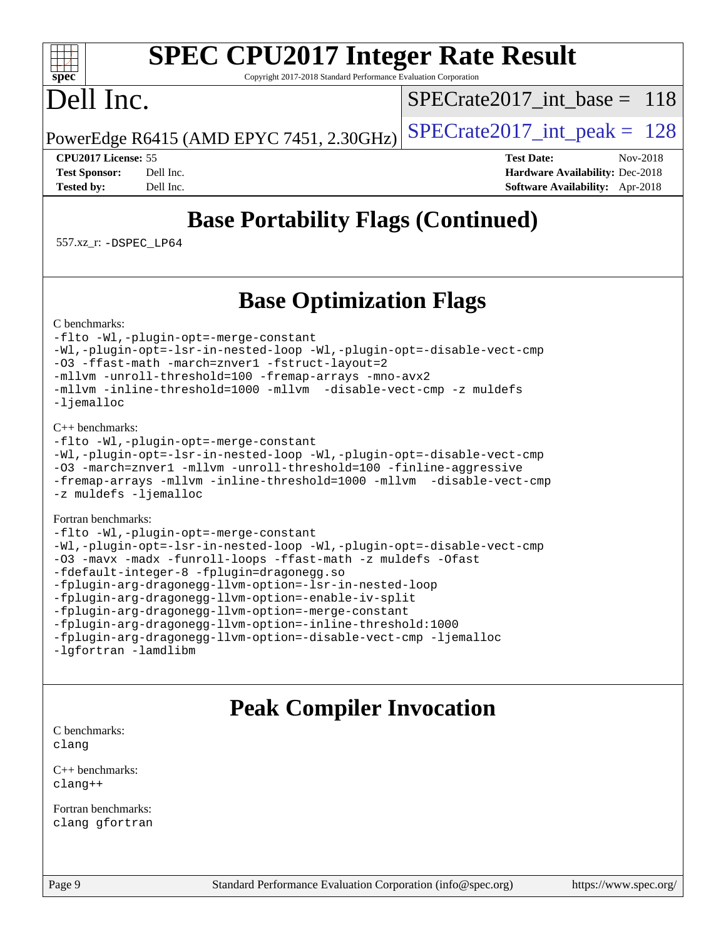# **[SPEC CPU2017 Integer Rate Result](http://www.spec.org/auto/cpu2017/Docs/result-fields.html#SPECCPU2017IntegerRateResult)**

Copyright 2017-2018 Standard Performance Evaluation Corporation

## Dell Inc.

**[spec](http://www.spec.org/)**

 $+\ +$ 

[SPECrate2017\\_int\\_base =](http://www.spec.org/auto/cpu2017/Docs/result-fields.html#SPECrate2017intbase) 118

PowerEdge R6415 (AMD EPYC 7451, 2.30GHz)  $\left|$  [SPECrate2017\\_int\\_peak =](http://www.spec.org/auto/cpu2017/Docs/result-fields.html#SPECrate2017intpeak) 128

**[CPU2017 License:](http://www.spec.org/auto/cpu2017/Docs/result-fields.html#CPU2017License)** 55 **[Test Date:](http://www.spec.org/auto/cpu2017/Docs/result-fields.html#TestDate)** Nov-2018 **[Test Sponsor:](http://www.spec.org/auto/cpu2017/Docs/result-fields.html#TestSponsor)** Dell Inc. **[Hardware Availability:](http://www.spec.org/auto/cpu2017/Docs/result-fields.html#HardwareAvailability)** Dec-2018 **[Tested by:](http://www.spec.org/auto/cpu2017/Docs/result-fields.html#Testedby)** Dell Inc. **[Software Availability:](http://www.spec.org/auto/cpu2017/Docs/result-fields.html#SoftwareAvailability)** Apr-2018

## **[Base Portability Flags \(Continued\)](http://www.spec.org/auto/cpu2017/Docs/result-fields.html#BasePortabilityFlags)**

557.xz\_r: [-DSPEC\\_LP64](http://www.spec.org/cpu2017/results/res2018q4/cpu2017-20181210-10205.flags.html#suite_baseEXTRA_PORTABILITY557_xz_r_DSPEC_LP64)

## **[Base Optimization Flags](http://www.spec.org/auto/cpu2017/Docs/result-fields.html#BaseOptimizationFlags)**

[C benchmarks](http://www.spec.org/auto/cpu2017/Docs/result-fields.html#Cbenchmarks):

[-flto](http://www.spec.org/cpu2017/results/res2018q4/cpu2017-20181210-10205.flags.html#user_CCbase_lto) [-Wl,-plugin-opt=-merge-constant](http://www.spec.org/cpu2017/results/res2018q4/cpu2017-20181210-10205.flags.html#user_CCbase_F-merge-constant_1d79771b5442061d9c8e05556c6b0c655e6c9e66f8c6936b0129d434b6acd2b1cf1b7cd2540d1570ff636111b08a6bc36e2e61fc34531f8ef7c1a34c57be1dbb) [-Wl,-plugin-opt=-lsr-in-nested-loop](http://www.spec.org/cpu2017/results/res2018q4/cpu2017-20181210-10205.flags.html#user_CCbase_lsr-in-nested-loop_1cff93fd95162f5e77640b5271e8bed680fb62b4a8d96fb8ab217ff3244646f1fbb342e31af83c263403bbf5249c7dc7732d5c86c3eab4cc8d32dcb7a6f33ca0) [-Wl,-plugin-opt=-disable-vect-cmp](http://www.spec.org/cpu2017/results/res2018q4/cpu2017-20181210-10205.flags.html#user_CCbase_disable-vect-cmp_1056b9a09b8ddc126e023b5f99ae33179ef568835465af9b7adeacf4b6480ff575c8aee439265bcfbcbf086f33f2fa5cca2bc4cf52b64c0cd2e10f6503cba02d) [-O3](http://www.spec.org/cpu2017/results/res2018q4/cpu2017-20181210-10205.flags.html#user_CCbase_F-O3) [-ffast-math](http://www.spec.org/cpu2017/results/res2018q4/cpu2017-20181210-10205.flags.html#user_CCbase_F-aocc-ffast-math_78dd175de6534c2005829757b9b0f2878e57b067cce6f7c443b2250ac68890960e2e1b320ca04b81ff7c62c6f87870ed05f06baf7875eea2990d38e3b73c71f1) [-march=znver1](http://www.spec.org/cpu2017/results/res2018q4/cpu2017-20181210-10205.flags.html#user_CCbase_F-march) [-fstruct-layout=2](http://www.spec.org/cpu2017/results/res2018q4/cpu2017-20181210-10205.flags.html#user_CCbase_F-fstruct-layout_a05ec02e17cdf7fe0c3950a6b005251b2b1e5e67af2b5298cf72714730c3d59ba290e75546b10aa22dac074c15ceaca36ae22c62cb51bcb2fbdc9dc4e7e222c4) [-mllvm -unroll-threshold=100](http://www.spec.org/cpu2017/results/res2018q4/cpu2017-20181210-10205.flags.html#user_CCbase_F-unroll-threshold_2755d0c78138845d361fa1543e3a063fffa198df9b3edf0cfb856bbc88a81e1769b12ac7a550c5d35197be55360db1a3f95a8d1304df999456cabf5120c45168) [-fremap-arrays](http://www.spec.org/cpu2017/results/res2018q4/cpu2017-20181210-10205.flags.html#user_CCbase_F-fremap-arrays) [-mno-avx2](http://www.spec.org/cpu2017/results/res2018q4/cpu2017-20181210-10205.flags.html#user_CCbase_F-mno-avx2) [-mllvm -inline-threshold=1000](http://www.spec.org/cpu2017/results/res2018q4/cpu2017-20181210-10205.flags.html#user_CCbase_inline-threshold_b7832241b0a6397e4ecdbaf0eb7defdc10f885c2a282fa3240fdc99844d543fda39cf8a4a9dccf68cf19b5438ac3b455264f478df15da0f4988afa40d8243bab) [-mllvm -disable-vect-cmp](http://www.spec.org/cpu2017/results/res2018q4/cpu2017-20181210-10205.flags.html#user_CCbase_disable-vect-cmp_d995c9eb800469498c6893dc847c54c903d59847b18cb2ac22011b9af7010c96d2d48d3c6b41246fe86945001509aa4dc528afb61cb238fd3b256a31781ea0cf) [-z muldefs](http://www.spec.org/cpu2017/results/res2018q4/cpu2017-20181210-10205.flags.html#user_CCbase_F-z-muldefs) [-ljemalloc](http://www.spec.org/cpu2017/results/res2018q4/cpu2017-20181210-10205.flags.html#user_CCbase_jemalloc-lib_d1249b907c500fa1c0672f44f562e3d0f79738ae9e3c4a9c376d49f265a04b9c99b167ecedbf6711b3085be911c67ff61f150a17b3472be731631ba4d0471706)

#### [C++ benchmarks:](http://www.spec.org/auto/cpu2017/Docs/result-fields.html#CXXbenchmarks)

```
-flto -Wl,-plugin-opt=-merge-constant
-Wl,-plugin-opt=-lsr-in-nested-loop -Wl,-plugin-opt=-disable-vect-cmp
-O3 -march=znver1 -mllvm -unroll-threshold=100 -finline-aggressive
-fremap-arrays -mllvm -inline-threshold=1000 -mllvm -disable-vect-cmp
-z muldefs -ljemalloc
```
#### [Fortran benchmarks](http://www.spec.org/auto/cpu2017/Docs/result-fields.html#Fortranbenchmarks):

```
-flto -Wl,-plugin-opt=-merge-constant
-Wl,-plugin-opt=-lsr-in-nested-loop -Wl,-plugin-opt=-disable-vect-cmp
-O3 -mavx -madx -funroll-loops -ffast-math -z muldefs -Ofast
-fdefault-integer-8 -fplugin=dragonegg.so
-fplugin-arg-dragonegg-llvm-option=-lsr-in-nested-loop
-fplugin-arg-dragonegg-llvm-option=-enable-iv-split
-fplugin-arg-dragonegg-llvm-option=-merge-constant
-fplugin-arg-dragonegg-llvm-option=-inline-threshold:1000
-fplugin-arg-dragonegg-llvm-option=-disable-vect-cmp -ljemalloc
-lgfortran -lamdlibm
```
## **[Peak Compiler Invocation](http://www.spec.org/auto/cpu2017/Docs/result-fields.html#PeakCompilerInvocation)**

[C benchmarks](http://www.spec.org/auto/cpu2017/Docs/result-fields.html#Cbenchmarks): [clang](http://www.spec.org/cpu2017/results/res2018q4/cpu2017-20181210-10205.flags.html#user_CCpeak_Fclang3_a68b77bfed473bd9cdd22529af008e8306c2e3948617c8991604c1a2000ee4a73ef90dd8bc793e105fe4165a625d26dacbda4708d828ad19048918c071b363ec)

[C++ benchmarks:](http://www.spec.org/auto/cpu2017/Docs/result-fields.html#CXXbenchmarks) [clang++](http://www.spec.org/cpu2017/results/res2018q4/cpu2017-20181210-10205.flags.html#user_CXXpeak_Fclang3_57a48582e5be507d19b2527b3e7d4f85d9b8669ffc9a8a0dbb9bcf949a918a58bbab411e0c4d14a3922022a3e425a90db94042683824c1806feff4324ca1000d)

[Fortran benchmarks](http://www.spec.org/auto/cpu2017/Docs/result-fields.html#Fortranbenchmarks): [clang](http://www.spec.org/cpu2017/results/res2018q4/cpu2017-20181210-10205.flags.html#user_FCpeak_Fclang3_a68b77bfed473bd9cdd22529af008e8306c2e3948617c8991604c1a2000ee4a73ef90dd8bc793e105fe4165a625d26dacbda4708d828ad19048918c071b363ec) [gfortran](http://www.spec.org/cpu2017/results/res2018q4/cpu2017-20181210-10205.flags.html#user_FCpeak_aocc-gfortran_128c91a56d61ddb07404721e65b8f9498c31a443dacbd3b7f212891090eca86e2d099b520f75b99e9e8ac4fdec01f4d15f0b65e47123ec4c42b0759045731a1f)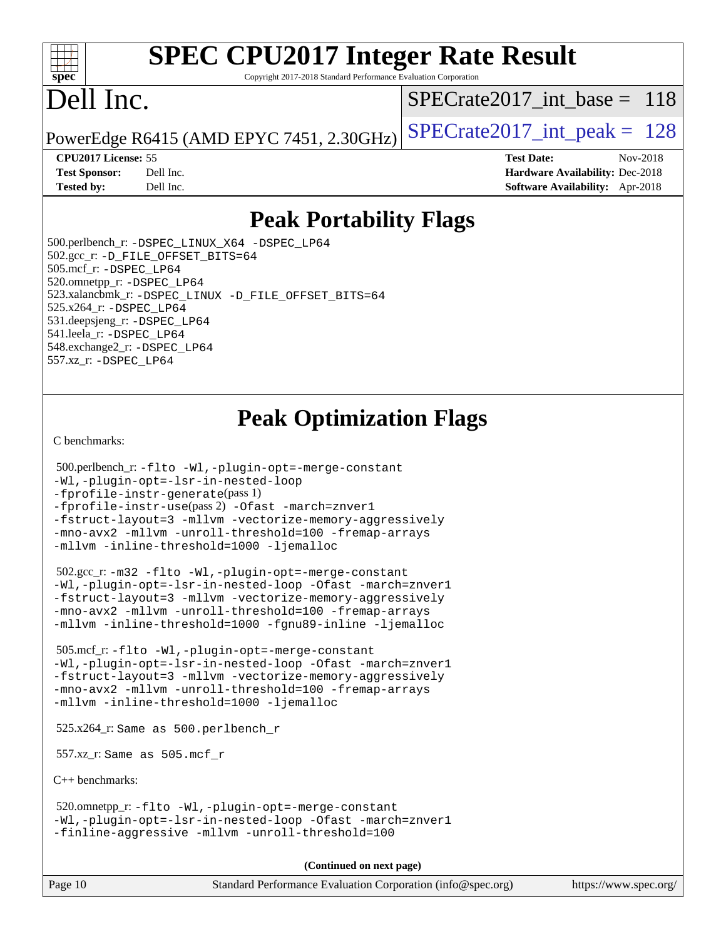#### $+\ +$ **[spec](http://www.spec.org/)**

## **[SPEC CPU2017 Integer Rate Result](http://www.spec.org/auto/cpu2017/Docs/result-fields.html#SPECCPU2017IntegerRateResult)**

Copyright 2017-2018 Standard Performance Evaluation Corporation

## Dell Inc.

[SPECrate2017\\_int\\_base =](http://www.spec.org/auto/cpu2017/Docs/result-fields.html#SPECrate2017intbase) 118

PowerEdge R6415 (AMD EPYC 7451, 2.30GHz)  $\left|$  [SPECrate2017\\_int\\_peak =](http://www.spec.org/auto/cpu2017/Docs/result-fields.html#SPECrate2017intpeak) 128

**[Tested by:](http://www.spec.org/auto/cpu2017/Docs/result-fields.html#Testedby)** Dell Inc. **[Software Availability:](http://www.spec.org/auto/cpu2017/Docs/result-fields.html#SoftwareAvailability)** Apr-2018

**[CPU2017 License:](http://www.spec.org/auto/cpu2017/Docs/result-fields.html#CPU2017License)** 55 **[Test Date:](http://www.spec.org/auto/cpu2017/Docs/result-fields.html#TestDate)** Nov-2018 **[Test Sponsor:](http://www.spec.org/auto/cpu2017/Docs/result-fields.html#TestSponsor)** Dell Inc. **[Hardware Availability:](http://www.spec.org/auto/cpu2017/Docs/result-fields.html#HardwareAvailability)** Dec-2018

## **[Peak Portability Flags](http://www.spec.org/auto/cpu2017/Docs/result-fields.html#PeakPortabilityFlags)**

 500.perlbench\_r: [-DSPEC\\_LINUX\\_X64](http://www.spec.org/cpu2017/results/res2018q4/cpu2017-20181210-10205.flags.html#b500.perlbench_r_peakPORTABILITY_DSPEC_LINUX_X64) [-DSPEC\\_LP64](http://www.spec.org/cpu2017/results/res2018q4/cpu2017-20181210-10205.flags.html#b500.perlbench_r_peakEXTRA_PORTABILITY_DSPEC_LP64) 502.gcc\_r: [-D\\_FILE\\_OFFSET\\_BITS=64](http://www.spec.org/cpu2017/results/res2018q4/cpu2017-20181210-10205.flags.html#user_peakEXTRA_PORTABILITY502_gcc_r_F-D_FILE_OFFSET_BITS_5ae949a99b284ddf4e95728d47cb0843d81b2eb0e18bdfe74bbf0f61d0b064f4bda2f10ea5eb90e1dcab0e84dbc592acfc5018bc955c18609f94ddb8d550002c) 505.mcf\_r: [-DSPEC\\_LP64](http://www.spec.org/cpu2017/results/res2018q4/cpu2017-20181210-10205.flags.html#suite_peakEXTRA_PORTABILITY505_mcf_r_DSPEC_LP64) 520.omnetpp\_r: [-DSPEC\\_LP64](http://www.spec.org/cpu2017/results/res2018q4/cpu2017-20181210-10205.flags.html#suite_peakEXTRA_PORTABILITY520_omnetpp_r_DSPEC_LP64) 523.xalancbmk\_r: [-DSPEC\\_LINUX](http://www.spec.org/cpu2017/results/res2018q4/cpu2017-20181210-10205.flags.html#b523.xalancbmk_r_peakPORTABILITY_DSPEC_LINUX) [-D\\_FILE\\_OFFSET\\_BITS=64](http://www.spec.org/cpu2017/results/res2018q4/cpu2017-20181210-10205.flags.html#user_peakEXTRA_PORTABILITY523_xalancbmk_r_F-D_FILE_OFFSET_BITS_5ae949a99b284ddf4e95728d47cb0843d81b2eb0e18bdfe74bbf0f61d0b064f4bda2f10ea5eb90e1dcab0e84dbc592acfc5018bc955c18609f94ddb8d550002c) 525.x264\_r: [-DSPEC\\_LP64](http://www.spec.org/cpu2017/results/res2018q4/cpu2017-20181210-10205.flags.html#suite_peakEXTRA_PORTABILITY525_x264_r_DSPEC_LP64) 531.deepsjeng\_r: [-DSPEC\\_LP64](http://www.spec.org/cpu2017/results/res2018q4/cpu2017-20181210-10205.flags.html#suite_peakEXTRA_PORTABILITY531_deepsjeng_r_DSPEC_LP64) 541.leela\_r: [-DSPEC\\_LP64](http://www.spec.org/cpu2017/results/res2018q4/cpu2017-20181210-10205.flags.html#suite_peakEXTRA_PORTABILITY541_leela_r_DSPEC_LP64) 548.exchange2\_r: [-DSPEC\\_LP64](http://www.spec.org/cpu2017/results/res2018q4/cpu2017-20181210-10205.flags.html#suite_peakEXTRA_PORTABILITY548_exchange2_r_DSPEC_LP64) 557.xz\_r: [-DSPEC\\_LP64](http://www.spec.org/cpu2017/results/res2018q4/cpu2017-20181210-10205.flags.html#suite_peakEXTRA_PORTABILITY557_xz_r_DSPEC_LP64)

## **[Peak Optimization Flags](http://www.spec.org/auto/cpu2017/Docs/result-fields.html#PeakOptimizationFlags)**

[C benchmarks](http://www.spec.org/auto/cpu2017/Docs/result-fields.html#Cbenchmarks):

```
 500.perlbench_r: -flto -Wl,-plugin-opt=-merge-constant
-Wl,-plugin-opt=-lsr-in-nested-loop
-fprofile-instr-generate(pass 1)
-fprofile-instr-use(pass 2) -Ofast -march=znver1
-fstruct-layout=3 -mllvm -vectorize-memory-aggressively
-mno-avx2 -mllvm -unroll-threshold=100 -fremap-arrays
-mllvm -inline-threshold=1000 -ljemalloc
```
 502.gcc\_r: [-m32](http://www.spec.org/cpu2017/results/res2018q4/cpu2017-20181210-10205.flags.html#user_peakCCLD502_gcc_r_F-m32) [-flto](http://www.spec.org/cpu2017/results/res2018q4/cpu2017-20181210-10205.flags.html#user_peakCOPTIMIZEEXTRA_LDFLAGS502_gcc_r_lto) [-Wl,-plugin-opt=-merge-constant](http://www.spec.org/cpu2017/results/res2018q4/cpu2017-20181210-10205.flags.html#user_peakEXTRA_LDFLAGS502_gcc_r_F-merge-constant_1d79771b5442061d9c8e05556c6b0c655e6c9e66f8c6936b0129d434b6acd2b1cf1b7cd2540d1570ff636111b08a6bc36e2e61fc34531f8ef7c1a34c57be1dbb) [-Wl,-plugin-opt=-lsr-in-nested-loop](http://www.spec.org/cpu2017/results/res2018q4/cpu2017-20181210-10205.flags.html#user_peakEXTRA_LDFLAGS502_gcc_r_lsr-in-nested-loop_1cff93fd95162f5e77640b5271e8bed680fb62b4a8d96fb8ab217ff3244646f1fbb342e31af83c263403bbf5249c7dc7732d5c86c3eab4cc8d32dcb7a6f33ca0) [-Ofast](http://www.spec.org/cpu2017/results/res2018q4/cpu2017-20181210-10205.flags.html#user_peakCOPTIMIZE502_gcc_r_F-aocc-Ofast) [-march=znver1](http://www.spec.org/cpu2017/results/res2018q4/cpu2017-20181210-10205.flags.html#user_peakCOPTIMIZE502_gcc_r_F-march) [-fstruct-layout=3](http://www.spec.org/cpu2017/results/res2018q4/cpu2017-20181210-10205.flags.html#user_peakCOPTIMIZE502_gcc_r_F-fstruct-layout) [-mllvm -vectorize-memory-aggressively](http://www.spec.org/cpu2017/results/res2018q4/cpu2017-20181210-10205.flags.html#user_peakCOPTIMIZE502_gcc_r_vectorize-memory-aggressively_24b72a4417f50ade9e698c5b3bed87ab456cc6fc8ec6439480cb84f36ad6a3975af6e87206dea402e3871a1464ff3d60bc798e0250f330177ba629a260df1857) [-mno-avx2](http://www.spec.org/cpu2017/results/res2018q4/cpu2017-20181210-10205.flags.html#user_peakCOPTIMIZE502_gcc_r_F-mno-avx2) [-mllvm -unroll-threshold=100](http://www.spec.org/cpu2017/results/res2018q4/cpu2017-20181210-10205.flags.html#user_peakCOPTIMIZE502_gcc_r_F-unroll-threshold_2755d0c78138845d361fa1543e3a063fffa198df9b3edf0cfb856bbc88a81e1769b12ac7a550c5d35197be55360db1a3f95a8d1304df999456cabf5120c45168) [-fremap-arrays](http://www.spec.org/cpu2017/results/res2018q4/cpu2017-20181210-10205.flags.html#user_peakCOPTIMIZE502_gcc_r_F-fremap-arrays) [-mllvm -inline-threshold=1000](http://www.spec.org/cpu2017/results/res2018q4/cpu2017-20181210-10205.flags.html#user_peakCOPTIMIZE502_gcc_r_inline-threshold_b7832241b0a6397e4ecdbaf0eb7defdc10f885c2a282fa3240fdc99844d543fda39cf8a4a9dccf68cf19b5438ac3b455264f478df15da0f4988afa40d8243bab) [-fgnu89-inline](http://www.spec.org/cpu2017/results/res2018q4/cpu2017-20181210-10205.flags.html#user_peakEXTRA_COPTIMIZE502_gcc_r_F-fgnu89-inline) [-ljemalloc](http://www.spec.org/cpu2017/results/res2018q4/cpu2017-20181210-10205.flags.html#user_peakEXTRA_LIBS502_gcc_r_jemalloc-lib_d1249b907c500fa1c0672f44f562e3d0f79738ae9e3c4a9c376d49f265a04b9c99b167ecedbf6711b3085be911c67ff61f150a17b3472be731631ba4d0471706)

 505.mcf\_r: [-flto](http://www.spec.org/cpu2017/results/res2018q4/cpu2017-20181210-10205.flags.html#user_peakCOPTIMIZEEXTRA_LDFLAGS505_mcf_r_lto) [-Wl,-plugin-opt=-merge-constant](http://www.spec.org/cpu2017/results/res2018q4/cpu2017-20181210-10205.flags.html#user_peakEXTRA_LDFLAGS505_mcf_r_F-merge-constant_1d79771b5442061d9c8e05556c6b0c655e6c9e66f8c6936b0129d434b6acd2b1cf1b7cd2540d1570ff636111b08a6bc36e2e61fc34531f8ef7c1a34c57be1dbb) [-Wl,-plugin-opt=-lsr-in-nested-loop](http://www.spec.org/cpu2017/results/res2018q4/cpu2017-20181210-10205.flags.html#user_peakEXTRA_LDFLAGS505_mcf_r_lsr-in-nested-loop_1cff93fd95162f5e77640b5271e8bed680fb62b4a8d96fb8ab217ff3244646f1fbb342e31af83c263403bbf5249c7dc7732d5c86c3eab4cc8d32dcb7a6f33ca0) [-Ofast](http://www.spec.org/cpu2017/results/res2018q4/cpu2017-20181210-10205.flags.html#user_peakCOPTIMIZE505_mcf_r_F-aocc-Ofast) [-march=znver1](http://www.spec.org/cpu2017/results/res2018q4/cpu2017-20181210-10205.flags.html#user_peakCOPTIMIZE505_mcf_r_F-march) [-fstruct-layout=3](http://www.spec.org/cpu2017/results/res2018q4/cpu2017-20181210-10205.flags.html#user_peakCOPTIMIZE505_mcf_r_F-fstruct-layout) [-mllvm -vectorize-memory-aggressively](http://www.spec.org/cpu2017/results/res2018q4/cpu2017-20181210-10205.flags.html#user_peakCOPTIMIZE505_mcf_r_vectorize-memory-aggressively_24b72a4417f50ade9e698c5b3bed87ab456cc6fc8ec6439480cb84f36ad6a3975af6e87206dea402e3871a1464ff3d60bc798e0250f330177ba629a260df1857) [-mno-avx2](http://www.spec.org/cpu2017/results/res2018q4/cpu2017-20181210-10205.flags.html#user_peakCOPTIMIZE505_mcf_r_F-mno-avx2) [-mllvm -unroll-threshold=100](http://www.spec.org/cpu2017/results/res2018q4/cpu2017-20181210-10205.flags.html#user_peakCOPTIMIZE505_mcf_r_F-unroll-threshold_2755d0c78138845d361fa1543e3a063fffa198df9b3edf0cfb856bbc88a81e1769b12ac7a550c5d35197be55360db1a3f95a8d1304df999456cabf5120c45168) [-fremap-arrays](http://www.spec.org/cpu2017/results/res2018q4/cpu2017-20181210-10205.flags.html#user_peakCOPTIMIZE505_mcf_r_F-fremap-arrays) [-mllvm -inline-threshold=1000](http://www.spec.org/cpu2017/results/res2018q4/cpu2017-20181210-10205.flags.html#user_peakCOPTIMIZE505_mcf_r_inline-threshold_b7832241b0a6397e4ecdbaf0eb7defdc10f885c2a282fa3240fdc99844d543fda39cf8a4a9dccf68cf19b5438ac3b455264f478df15da0f4988afa40d8243bab) [-ljemalloc](http://www.spec.org/cpu2017/results/res2018q4/cpu2017-20181210-10205.flags.html#user_peakEXTRA_LIBS505_mcf_r_jemalloc-lib_d1249b907c500fa1c0672f44f562e3d0f79738ae9e3c4a9c376d49f265a04b9c99b167ecedbf6711b3085be911c67ff61f150a17b3472be731631ba4d0471706)

525.x264\_r: Same as 500.perlbench\_r

557.xz\_r: Same as 505.mcf\_r

[C++ benchmarks:](http://www.spec.org/auto/cpu2017/Docs/result-fields.html#CXXbenchmarks)

 520.omnetpp\_r: [-flto](http://www.spec.org/cpu2017/results/res2018q4/cpu2017-20181210-10205.flags.html#user_peakCXXOPTIMIZEEXTRA_LDFLAGS520_omnetpp_r_lto) [-Wl,-plugin-opt=-merge-constant](http://www.spec.org/cpu2017/results/res2018q4/cpu2017-20181210-10205.flags.html#user_peakEXTRA_LDFLAGS520_omnetpp_r_F-merge-constant_1d79771b5442061d9c8e05556c6b0c655e6c9e66f8c6936b0129d434b6acd2b1cf1b7cd2540d1570ff636111b08a6bc36e2e61fc34531f8ef7c1a34c57be1dbb) [-Wl,-plugin-opt=-lsr-in-nested-loop](http://www.spec.org/cpu2017/results/res2018q4/cpu2017-20181210-10205.flags.html#user_peakEXTRA_LDFLAGS520_omnetpp_r_lsr-in-nested-loop_1cff93fd95162f5e77640b5271e8bed680fb62b4a8d96fb8ab217ff3244646f1fbb342e31af83c263403bbf5249c7dc7732d5c86c3eab4cc8d32dcb7a6f33ca0) [-Ofast](http://www.spec.org/cpu2017/results/res2018q4/cpu2017-20181210-10205.flags.html#user_peakCXXOPTIMIZE520_omnetpp_r_F-aocc-Ofast) [-march=znver1](http://www.spec.org/cpu2017/results/res2018q4/cpu2017-20181210-10205.flags.html#user_peakCXXOPTIMIZE520_omnetpp_r_F-march) [-finline-aggressive](http://www.spec.org/cpu2017/results/res2018q4/cpu2017-20181210-10205.flags.html#user_peakCXXOPTIMIZE520_omnetpp_r_F-finline-aggressive) [-mllvm -unroll-threshold=100](http://www.spec.org/cpu2017/results/res2018q4/cpu2017-20181210-10205.flags.html#user_peakCXXOPTIMIZE520_omnetpp_r_F-unroll-threshold_2755d0c78138845d361fa1543e3a063fffa198df9b3edf0cfb856bbc88a81e1769b12ac7a550c5d35197be55360db1a3f95a8d1304df999456cabf5120c45168)

**(Continued on next page)**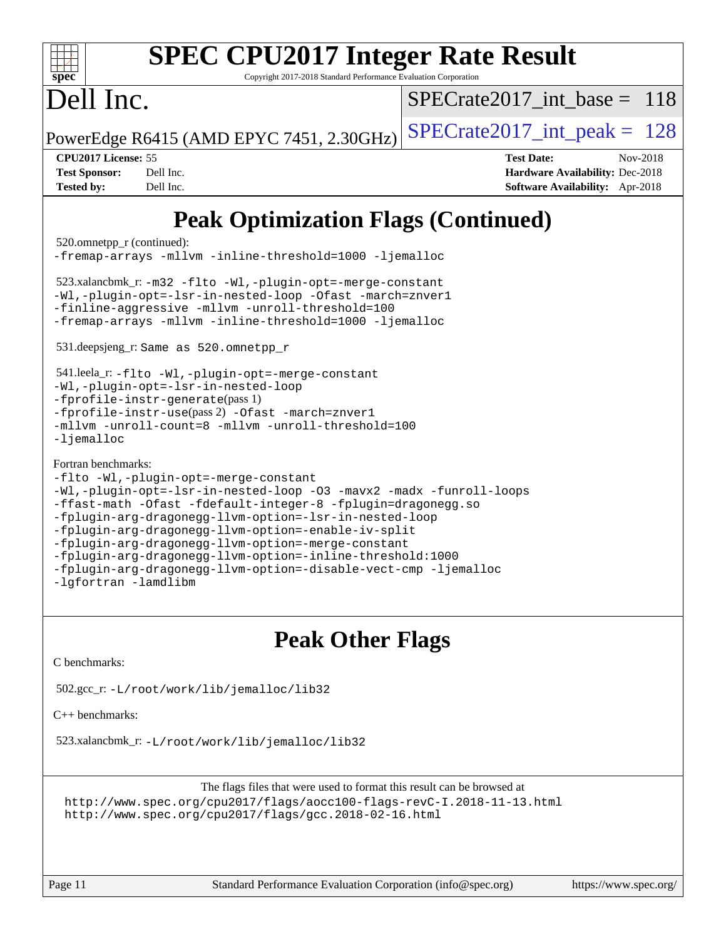| <b>SPEC CPU2017 Integer Rate Result</b><br>spec <sup>®</sup><br>Copyright 2017-2018 Standard Performance Evaluation Corporation                                                                                                                                                                                                                                                                                                                                                                                                                                                                                                                                                                                                                                                                                                   |                                                                                                                   |  |  |  |  |  |
|-----------------------------------------------------------------------------------------------------------------------------------------------------------------------------------------------------------------------------------------------------------------------------------------------------------------------------------------------------------------------------------------------------------------------------------------------------------------------------------------------------------------------------------------------------------------------------------------------------------------------------------------------------------------------------------------------------------------------------------------------------------------------------------------------------------------------------------|-------------------------------------------------------------------------------------------------------------------|--|--|--|--|--|
| Dell Inc.                                                                                                                                                                                                                                                                                                                                                                                                                                                                                                                                                                                                                                                                                                                                                                                                                         | $SPECrate2017$ int base = 118                                                                                     |  |  |  |  |  |
| PowerEdge R6415 (AMD EPYC 7451, 2.30GHz)                                                                                                                                                                                                                                                                                                                                                                                                                                                                                                                                                                                                                                                                                                                                                                                          | $SPECTate2017\_int\_peak = 128$                                                                                   |  |  |  |  |  |
| CPU2017 License: 55<br><b>Test Sponsor:</b><br>Dell Inc.<br><b>Tested by:</b><br>Dell Inc.                                                                                                                                                                                                                                                                                                                                                                                                                                                                                                                                                                                                                                                                                                                                        | <b>Test Date:</b><br>Nov-2018<br><b>Hardware Availability: Dec-2018</b><br><b>Software Availability:</b> Apr-2018 |  |  |  |  |  |
| <b>Peak Optimization Flags (Continued)</b><br>520.omnetpp_r (continued):<br>-fremap-arrays -mllvm -inline-threshold=1000 -ljemalloc<br>$523.x$ alancbmk_r: -m32 -flto -Wl,-plugin-opt=-merge-constant<br>-Wl,-plugin-opt=-lsr-in-nested-loop -Ofast -march=znver1<br>-finline-aggressive -mllvm -unroll-threshold=100<br>-fremap-arrays -mllvm -inline-threshold=1000 -ljemalloc<br>531.deepsjeng_r: Same as 520.omnetpp_r<br>541.leela_r: -flto -Wl,-plugin-opt=-merge-constant<br>-Wl,-plugin-opt=-lsr-in-nested-loop<br>$-$ fprofile-instr-generate(pass 1)<br>-fprofile-instr-use(pass 2) -Ofast -march=znver1<br>-mllvm -unroll-count=8 -mllvm -unroll-threshold=100<br>$-lj$ emalloc<br>Fortran benchmarks:<br>-flto -Wl,-plugin-opt=-merge-constant<br>-Wl,-plugin-opt=-lsr-in-nested-loop -03 -mavx2 -madx -funroll-loops |                                                                                                                   |  |  |  |  |  |

```
-fplugin-arg-dragonegg-llvm-option=-lsr-in-nested-loop
-fplugin-arg-dragonegg-llvm-option=-enable-iv-split
-fplugin-arg-dragonegg-llvm-option=-merge-constant
-fplugin-arg-dragonegg-llvm-option=-inline-threshold:1000
-fplugin-arg-dragonegg-llvm-option=-disable-vect-cmp -ljemalloc
```
[-lgfortran](http://www.spec.org/cpu2017/results/res2018q4/cpu2017-20181210-10205.flags.html#user_FCpeak_F-lgfortran) [-lamdlibm](http://www.spec.org/cpu2017/results/res2018q4/cpu2017-20181210-10205.flags.html#user_FCpeak_F-lamdlibm)

## **[Peak Other Flags](http://www.spec.org/auto/cpu2017/Docs/result-fields.html#PeakOtherFlags)**

[C benchmarks](http://www.spec.org/auto/cpu2017/Docs/result-fields.html#Cbenchmarks):

502.gcc\_r: [-L/root/work/lib/jemalloc/lib32](http://www.spec.org/cpu2017/results/res2018q4/cpu2017-20181210-10205.flags.html#user_peakEXTRA_LIBS502_gcc_r_Link_path_ed592dae44e5c1ab08e0623a53d3c5a4c6e35be404d5d0c77aec9324965777ec819518e6bc9b505d0969c714b6f83ef377306a01beedec47148c3dcded825687)

[C++ benchmarks:](http://www.spec.org/auto/cpu2017/Docs/result-fields.html#CXXbenchmarks)

523.xalancbmk\_r: [-L/root/work/lib/jemalloc/lib32](http://www.spec.org/cpu2017/results/res2018q4/cpu2017-20181210-10205.flags.html#user_peakEXTRA_LIBS523_xalancbmk_r_Link_path_ed592dae44e5c1ab08e0623a53d3c5a4c6e35be404d5d0c77aec9324965777ec819518e6bc9b505d0969c714b6f83ef377306a01beedec47148c3dcded825687)

The flags files that were used to format this result can be browsed at <http://www.spec.org/cpu2017/flags/aocc100-flags-revC-I.2018-11-13.html> <http://www.spec.org/cpu2017/flags/gcc.2018-02-16.html>